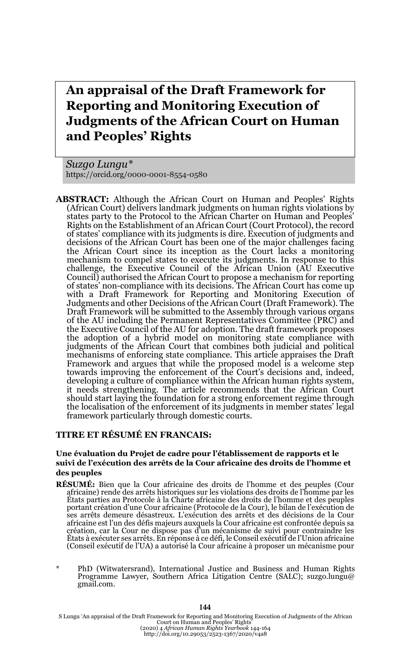# **An appraisal of the Draft Framework for Reporting and Monitoring Execution of Judgments of the African Court on Human and Peoples' Rights**

*Suzgo Lungu\** https://orcid.org/0000-0001-8554-0580

**ABSTRACT:** Although the African Court on Human and Peoples' Rights (African Court) delivers landmark judgments on human rights violations by states party to the Protocol to the African Charter on Human and Peoples' Rights on the Establishment of an African Court (Court Protocol), the record of states' compliance with its judgments is dire. Execution of judgments and decisions of the African Court has been one of the major challenges facing the African Court since its inception as the Court lacks a monitoring mechanism to compel states to execute its judgments. In response to this challenge, the Executive Council of the African Union (AU Executive Council) authorised the African Court to propose a mechanism for reporting of states' non-compliance with its decisions. The African Court has come up with a Draft Framework for Reporting and Monitoring Execution of Judgments and other Decisions of the African Court (Draft Framework). The Draft Framework will be submitted to the Assembly through various organs of the AU including the Permanent Representatives Committee (PRC) and the Executive Council of the AU for adoption. The draft framework proposes the adoption of a hybrid model on monitoring state compliance with judgments of the African Court that combines both judicial and political mechanisms of enforcing state compliance. This article appraises the Draft Framework and argues that while the proposed model is a welcome step towards improving the enforcement of the Court's decisions and, indeed, developing a culture of compliance within the African human rights system, it needs strengthening. The article recommends that the African Court should start laying the foundation for a strong enforcement regime through the localisation of the enforcement of its judgments in member states' legal framework particularly through domestic courts.

#### **TITRE ET RÉSUMÉ EN FRANCAIS:**

#### **Une évaluation du Projet de cadre pour l'établissement de rapports et le suivi de l'exécution des arrêts de la Cour africaine des droits de l'homme et des peuples**

- **RÉSUMÉ:** Bien que la Cour africaine des droits de l'homme et des peuples (Cour africaine) rende des arrêts historiques sur les violations des droits de l'homme par les États parties au Protocole à la Charte africaine des droits de l'homme et des peuples portant création d'une Cour africaine (Protocole de la Cour), le bilan de l'exécution de ses arrêts demeure désastreux. L'exécution des arrêts et des décisions de la Cour africaine est l'un des défis majeurs auxquels la Cour africaine est confrontée depuis sa création, car la Cour ne dispose pas d'un mécanisme de suivi pour contraindre les États à exécuter ses arrêts. En réponse à ce défi, le Conseil exécutif de l'Union africaine (Conseil exécutif de l'UA) a autorisé la Cour africaine à proposer un mécanisme pour
- \* PhD (Witwatersrand), International Justice and Business and Human Rights Programme Lawyer, Southern Africa Litigation Centre (SALC); suzgo.lungu@ gmail.com.

S Lungu 'An appraisal of the Draft Framework for Reporting and Monitoring Execution of Judgments of the African<br>Court on Human and Peoples' Rights'<br>(2020) 4 African Human Rights Yearbook 144-164<br>http://doi.org/10.29053/252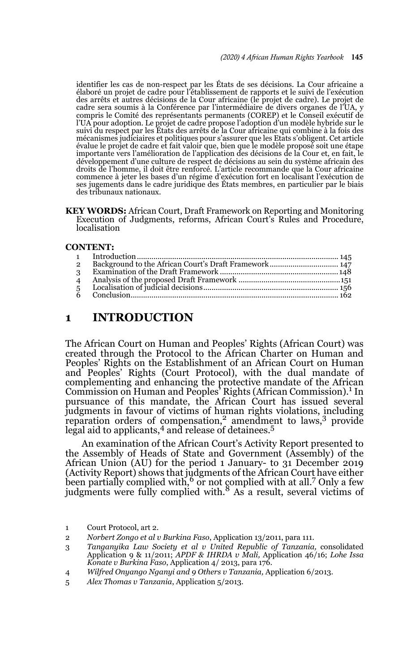identifier les cas de non-respect par les États de ses décisions. La Cour africaine a élaboré un projet de cadre pour l'établissement de rapports et le suivi de l'exécution des arrêts et autres décisions de la Cour africaine (le projet de cadre). Le projet de cadre sera soumis à la Conférence par l'intermédiaire de divers organes de l'UA, y compris le Comité des représentants permanents (COREP) et le Conseil exécutif de l'UA pour adoption. Le projet de cadre propose l'adoption d'un modèle hybride sur le suivi du respect par les États des arrêts de la Cour africaine qui combine à la fois des mécanismes judiciaires et politiques pour s'assurer que les Etats s'obligent. Cet article évalue le projet de cadre et fait valoir que, bien que le modèle proposé soit une étape importante vers l'amélioration de l'application des décisions de la Cour et, en fait, le développement d'une culture de respect de décisions au sein du système africain des droits de l'homme, il doit être renforcé. L'article recommande que la Cour africaine commence à jeter les bases d'un régime d'exécution fort en localisant l'exécution de ses jugements dans le cadre juridique des États membres, en particulier par le biais des tribunaux nationaux.

**KEY WORDS:** African Court, Draft Framework on Reporting and Monitoring Execution of Judgments, reforms, African Court's Rules and Procedure, localisation

#### **CONTENT:**

### **1 INTRODUCTION**

The African Court on Human and Peoples' Rights (African Court) was created through the Protocol to the African Charter on Human and Peoples' Rights on the Establishment of an African Court on Human and Peoples' Rights (Court Protocol), with the dual mandate of complementing and enhancing the protective mandate of the African Commission on Human and Peoples' Rights (African Commission).1 In pursuance of this mandate, the African Court has issued several judgments in favour of victims of human rights violations, including reparation orders of compensation,<sup>2</sup> amendment to laws,<sup>3</sup> provide legal aid to applicants,<sup>4</sup> and release of detainees.<sup>5</sup>

An examination of the African Court's Activity Report presented to the Assembly of Heads of State and Government (Assembly) of the African Union (AU) for the period 1 January- to 31 December 2019 (Activity Report) shows that judgments of the African Court have either been partially complied with,  $\frac{6}{5}$  or not complied with at all.  $\frac{7}{5}$  Only a few judgments were fully complied with.<sup>8</sup> As a result, several victims of

- 4 *Wilfred Onyango Nganyi and 9 Others v Tanzania,* Application 6/2013.
- 5 *Alex Thomas v Tanzania*, Application 5/2013.

<sup>1</sup> Court Protocol, art 2.

<sup>2</sup> *Norbert Zongo et al v Burkina Faso*, Application 13/2011, para 111.

<sup>3</sup> *Tanganyika Law Society et al v United Republic of Tanzania,* consolidated Application 9 & 11/2011; *APDF & IHRDA v Mali,* Application 46/16; *Lohe Issa Konate v Burkina Faso*, Application 4/ 2013, para 176.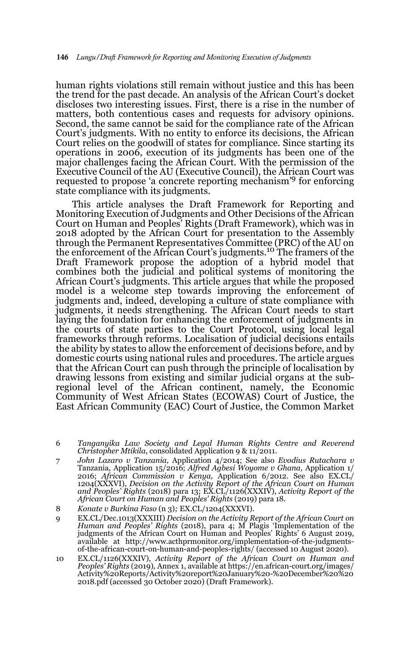human rights violations still remain without justice and this has been the trend for the past decade. An analysis of the African Court's docket discloses two interesting issues. First, there is a rise in the number of matters, both contentious cases and requests for advisory opinions. Second, the same cannot be said for the compliance rate of the African Court's judgments. With no entity to enforce its decisions, the African Court relies on the goodwill of states for compliance. Since starting its operations in 2006, execution of its judgments has been one of the major challenges facing the African Court. With the permission of the Executive Council of the AU (Executive Council), the African Court was requested to propose 'a concrete reporting mechanism'9 for enforcing state compliance with its judgments.

This article analyses the Draft Framework for Reporting and Monitoring Execution of Judgments and Other Decisions of the African Court on Human and Peoples' Rights (Draft Framework), which was in 2018 adopted by the African Court for presentation to the Assembly through the Permanent Representatives Committee (PRC) of the AU on the enforcement of the African Court's judgments.<sup>10</sup> The framers of the Draft Framework propose the adoption of a hybrid model that combines both the judicial and political systems of monitoring the African Court's judgments. This article argues that while the proposed model is a welcome step towards improving the enforcement of judgments and, indeed, developing a culture of state compliance with judgments, it needs strengthening. The African Court needs to start laying the foundation for enhancing the enforcement of judgments in the courts of state parties to the Court Protocol, using local legal frameworks through reforms. Localisation of judicial decisions entails the ability by states to allow the enforcement of decisions before, and by domestic courts using national rules and procedures. The article argues that the African Court can push through the principle of localisation by drawing lessons from existing and similar judicial organs at the subregional level of the African continent, namely, the Economic Community of West African States (ECOWAS) Court of Justice, the East African Community (EAC) Court of Justice, the Common Market

- 6 *Tanganyika Law Society and Legal Human Rights Centre and Reverend Christopher Mtikila*, consolidated Application 9 & 11/2011.
- 7 *John Lazaro v Tanzania,* Application 4/2014; See also *Evodius Rutachara v* Tanzania, Application 15/2016; *Alfred Agbesi Woyome v Ghana,* Application 1/ 2016; *African Commission v Kenya,* Application 6/2012. See also EX.CL/ 1204(XXXVI), *Decision on the Activity Report of the African Court on Human and Peoples' Rights* (2018) para 13; EX.CL/1126(XXXIV), *Activity Report of the African Court on Human and Peoples' Rights* (2019) para 18.

- 9 EX.CL/Dec.1013(XXXIII) *Decision on the Activity Report of the African Court on Human and Peoples' Rights* (2018), para 4; M Plagis 'Implementation of the judgments of the African Court on Human and Peoples' Rights' 6 Au available at http://www.acthprmonitor.org/implementation-of-the-judgmentsof-the-african-court-on-human-and-peoples-rights/ (accessed 10 August 2020).
- 10 EX.CL/1126(XXXIV), *Activity Report of the African Court on Human and Peoples' Rights* (2019)*,* Annex 1, available at https://en.african-court.org/images/ Activity%20Reports/Activity%20report%20January%20-%20December%20%20 2018.pdf (accessed 30 October 2020) (Draft Framework).

<sup>8</sup> *Konate v Burkina Faso* (n 3)*;* EX.CL/1204(XXXVI).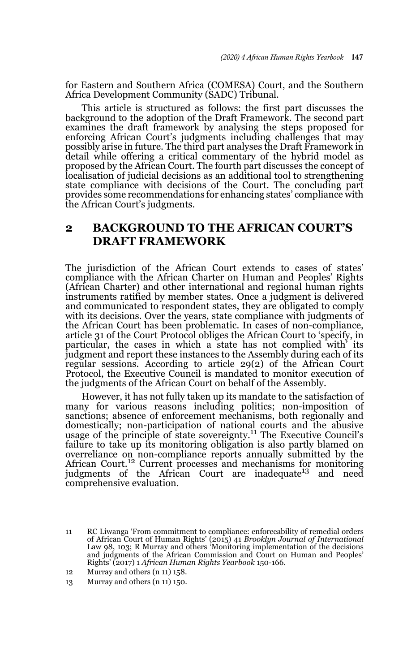for Eastern and Southern Africa (COMESA) Court, and the Southern Africa Development Community (SADC) Tribunal.

This article is structured as follows: the first part discusses the background to the adoption of the Draft Framework. The second part examines the draft framework by analysing the steps proposed for enforcing African Court's judgments including challenges that may possibly arise in future. The third part analyses the Draft Framework in detail while offering a critical commentary of the hybrid model as proposed by the African Court. The fourth part discusses the concept of localisation of judicial decisions as an additional tool to strengthening state compliance with decisions of the Court. The concluding part provides some recommendations for enhancing states' compliance with the African Court's judgments.

# **2 BACKGROUND TO THE AFRICAN COURT'S DRAFT FRAMEWORK**

The jurisdiction of the African Court extends to cases of states' compliance with the African Charter on Human and Peoples' Rights (African Charter) and other international and regional human rights instruments ratified by member states. Once a judgment is delivered and communicated to respondent states, they are obligated to comply with its decisions. Over the years, state compliance with judgments of the African Court has been problematic. In cases of non-compliance, article 31 of the Court Protocol obliges the African Court to 'specify, in particular, the cases in which a state has not complied with' its judgment and report these instances to the Assembly during each of its regular sessions. According to article 29(2) of the African Court Protocol, the Executive Council is mandated to monitor execution of the judgments of the African Court on behalf of the Assembly.

However, it has not fully taken up its mandate to the satisfaction of many for various reasons including politics; non-imposition of sanctions; absence of enforcement mechanisms, both regionally and domestically; non-participation of national courts and the abusive usage of the principle of state sovereignty.<sup>11</sup> The Executive Council's failure to take up its monitoring obligation is also partly blamed on overreliance on non-compliance reports annually submitted by the African Court.<sup>12</sup> Current processes and mechanisms for monitoring judgments of the African Court are inadequate<sup>13</sup> and need comprehensive evaluation.

<sup>11</sup> RC Liwanga 'From commitment to compliance: enforceability of remedial orders of African Court of Human Rights' (2015) 41 *Brooklyn Journal of International* Law 98, 103; R Murray and others 'Monitoring implementation of the decisions and judgments of the African Commission and Court on Human and Peoples' Rights' (2017) 1 *African Human Rights Yearbook* 150-166.

<sup>12</sup> Murray and others (n 11) 158.

<sup>13</sup> Murray and others (n 11) 150.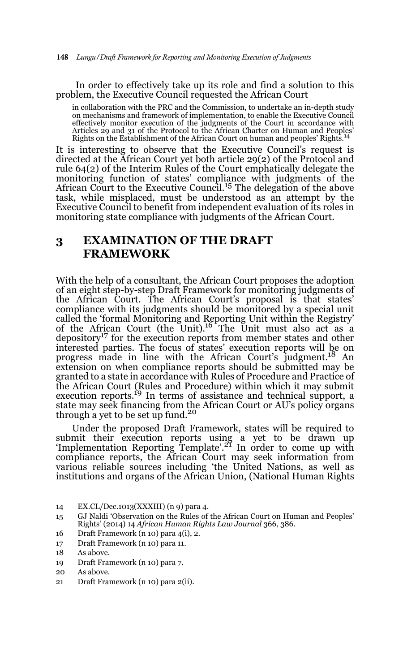In order to effectively take up its role and find a solution to this problem, the Executive Council requested the African Court

in collaboration with the PRC and the Commission, to undertake an in-depth study on mechanisms and framework of implementation, to enable the Executive Council effectively monitor execution of the judgments of the Court in accordance with Articles 29 and 31 of the Protocol to the African Charter on Human and Peoples' Rights on the Establishment of the African Court on human and peoples' Rights.<sup>14</sup>

It is interesting to observe that the Executive Council's request is directed at the African Court yet both article 29(2) of the Protocol and rule 64(2) of the Interim Rules of the Court emphatically delegate the monitoring function of states' compliance with judgments of the African Court to the Executive Council.15 The delegation of the above task, while misplaced, must be understood as an attempt by the Executive Council to benefit from independent evaluation of its roles in monitoring state compliance with judgments of the African Court.

# **3 EXAMINATION OF THE DRAFT FRAMEWORK**

With the help of a consultant, the African Court proposes the adoption of an eight step-by-step Draft Framework for monitoring judgments of the African Court. The African Court's proposal is that states' compliance with its judgments should be monitored by a special unit called the 'formal Monitoring and Reporting Unit within the Registry' of the African Court (the Unit).16 The Unit must also act as a depository<sup>17</sup> for the execution reports from member states and other interested parties. The focus of states' execution reports will be on progress made in line with the African Court's judgment.<sup>18</sup> An extension on when compliance reports should be submitted may be granted to a state in accordance with Rules of Procedure and Practice of the African Court (Rules and Procedure) within which it may submit execution reports.<sup>19</sup> In terms of assistance and technical support, a state may seek financing from the African Court or AU's policy organs through a yet to be set up fund.<sup>20</sup>

Under the proposed Draft Framework, states will be required to submit their execution reports using a yet to be drawn up <br>'Implementation Reporting Template'.<sup>21</sup> In order to come up with compliance reports, the African Court may seek information from various reliable sources including 'the United Nations, as well as institutions and organs of the African Union, (National Human Rights

- 15 GJ Naldi 'Observation on the Rules of the African Court on Human and Peoples' Rights' (2014) 14 *African Human Rights Law Journal* 366, 386.
- 16 Draft Framework (n 10) para 4(i), 2.
- 17 Draft Framework (n 10) para 11.

- 19 Draft Framework (n 10) para 7.
- 20 As above.
- 21 Draft Framework (n 10) para 2(ii).

<sup>14</sup> EX.CL/Dec.1013(XXXIII) (n 9) para 4.

<sup>18</sup> As above.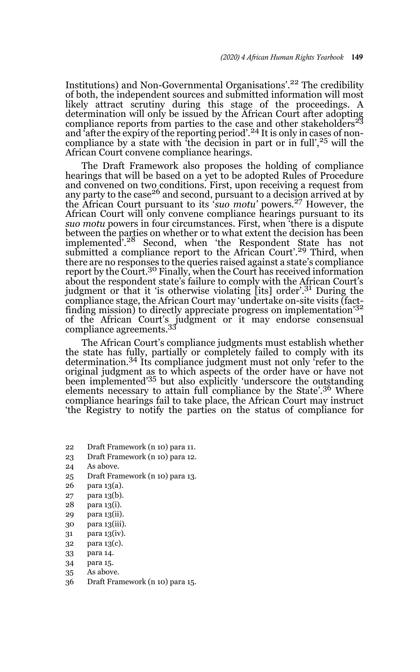Institutions) and Non-Governmental Organisations'.22 The credibility of both, the independent sources and submitted information will most likely attract scrutiny during this stage of the proceedings. A determination will only be issued by the African Court after adopting<br>compliance reports from parties to the case and other stakeholders<sup>23</sup> and 'after the expiry of the reporting period'.<sup>24</sup> It is only in cases of noncompliance by a state with 'the decision in part or in full',<sup>25</sup> will the African Court convene compliance hearings.

The Draft Framework also proposes the holding of compliance hearings that will be based on a yet to be adopted Rules of Procedure and convened on two conditions. First, upon receiving a request from any party to the case<sup>26</sup> and second, pursuant to a decision arrived at by the African Court pursuant to its '*suo motu'* powers*.* 27 However, the African Court will only convene compliance hearings pursuant to its *suo motu* powers in four circumstances. First, when 'there is a dispute between the parties on whether or to what extent the decision has been implemented<sup>7</sup>.<sup>28</sup> Second, when 'the Respondent State has not submitted a compliance report to the African Court'.<sup>29</sup> Third, when there are no responses to the queries raised against a state's compliance report by the Court.30 Finally, when the Court has received information about the respondent state's failure to comply with the African Court's judgment or that it 'is otherwise violating [its] order'.<sup>31</sup> During the compliance stage, the African Court may 'undertake on-site visits (factfinding mission) to directly appreciate progress on implementation'<sup>32</sup> of the African Court's judgment or it may endorse consensual compliance agreements.<sup>33</sup>

The African Court's compliance judgments must establish whether the state has fully, partially or completely failed to comply with its determination.34 Its compliance judgment must not only 'refer to the original judgment as to which aspects of the order have or have not been implemented'35 but also explicitly 'underscore the outstanding elements necessary to attain full compliance by the State'.<sup>36</sup> Where compliance hearings fail to take place, the African Court may instruct 'the Registry to notify the parties on the status of compliance for

- 22 Draft Framework (n 10) para 11.
- 23 Draft Framework (n 10) para 12.
- 24 As above.
- 25 Draft Framework (n 10) para 13.
- 26 para 13(a).
- 27 para 13(b).
- 28 para 13(i).
- 29 para 13(ii).
- 30 para 13(iii).
- 31 para 13(iv).
- 32 para 13(c).
- 33 para 14.
- 34 para 15.
- 35 As above.
- 36 Draft Framework (n 10) para 15.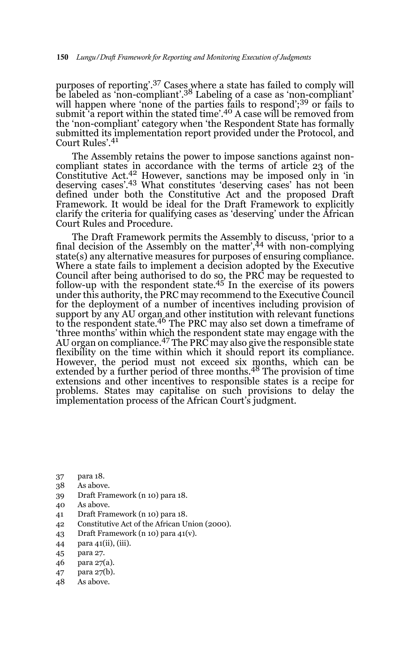purposes of reporting'.<sup>37</sup> Cases where a state has failed to comply will be labeled as 'non-compliant'.<sup>38</sup> Labeling of a case as 'non-compliant'. will happen where 'none of the parties fails to respond';<sup>39</sup> or fails to submit 'a report within the stated time'.<sup>40</sup> A case will be removed from the 'non-compliant' category when 'the Respondent State has formally submitted its implementation report provided under the Protocol, and Court Rules'.<sup>41</sup>

The Assembly retains the power to impose sanctions against noncompliant states in accordance with the terms of article 23 of the Constitutive Act.42 However, sanctions may be imposed only in 'in deserving cases'.<sup>43</sup> What constitutes 'deserving cases' has not been defined under both the Constitutive Act and the proposed Draft Framework. It would be ideal for the Draft Framework to explicitly clarify the criteria for qualifying cases as 'deserving' under the African Court Rules and Procedure.

The Draft Framework permits the Assembly to discuss, 'prior to a final decision of the Assembly on the matter',<sup>44</sup> with non-complying state(s) any alternative measures for purposes of ensuring compliance. Where a state fails to implement a decision adopted by the Executive Council after being authorised to do so, the PRC may be requested to follow-up with the respondent state.45 In the exercise of its powers under this authority, the PRC may recommend to the Executive Council for the deployment of a number of incentives including provision of support by any AU organ and other institution with relevant functions to the respondent state.<sup>46</sup> The PRC may also set down a timeframe of 'three months' within which the respondent state may engage with the AU organ on compliance.<sup>47</sup> The PRC may also give the responsible state flexibility on the time within which it should report its compliance. However, the period must not exceed six months, which can be extended by a further period of three months.<sup>48</sup> The provision of time extensions and other incentives to responsible states is a recipe for problems. States may capitalise on such provisions to delay the implementation process of the African Court's judgment.

- 37 para 18.
- 38 As above.
- 39 Draft Framework (n 10) para 18.
- 40 As above.
- 41 Draft Framework (n 10) para 18.
- 42 Constitutive Act of the African Union (2000).
- 43 Draft Framework (n 10) para 41(v).
- 44 para 41(ii), (iii).
- 45 para 27.
- 46 para 27(a).
- 47 para 27(b).
- 48 As above.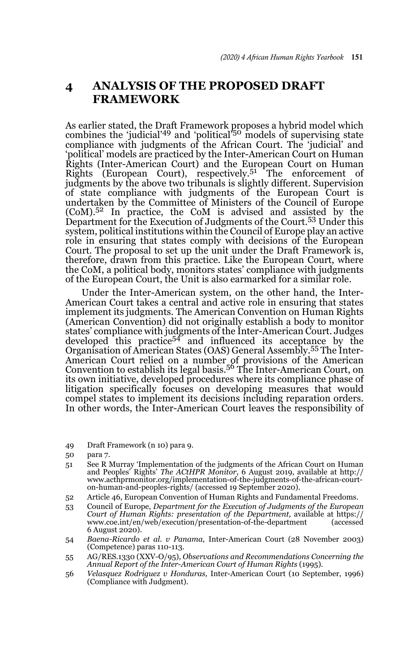# **4 ANALYSIS OF THE PROPOSED DRAFT FRAMEWORK**

As earlier stated, the Draft Framework proposes a hybrid model which<br>combines the 'judicial'<sup>49</sup> and 'political'<sup>50</sup> models of supervising state compliance with judgments of the African Court. The 'judicial' and 'political' models are practiced by the Inter-American Court on Human Rights (Inter-American Court) and the European Court on Human Rights (European Court), respectively.<sup>51</sup> The enforcement of judgments by the above two tribunals is slightly different. Supervision of state compliance with judgments of the European Court is undertaken by the Committee of Ministers of the Council of Europe  $(CoM).5<sup>2</sup>$  In practice, the CoM is advised and assisted by the Department for the Execution of Judgments of the Court.<sup>53</sup> Under this system, political institutions within the Council of Europe play an active role in ensuring that states comply with decisions of the European Court. The proposal to set up the unit under the Draft Framework is, therefore, drawn from this practice. Like the European Court, where the CoM, a political body, monitors states' compliance with judgments of the European Court, the Unit is also earmarked for a similar role.

Under the Inter-American system, on the other hand, the Inter-American Court takes a central and active role in ensuring that states implement its judgments. The American Convention on Human Rights (American Convention) did not originally establish a body to monitor states' compliance with judgments of the Inter-American Court. Judges<br>developed this practice<sup>54</sup> and influenced its acceptance by the Organisation of American States (OAS) General Assembly.55 The Inter-American Court relied on a number of provisions of the American Convention to establish its legal basis.56 The Inter-American Court, on its own initiative, developed procedures where its compliance phase of litigation specifically focuses on developing measures that would compel states to implement its decisions including reparation orders. In other words, the Inter-American Court leaves the responsibility of

49 Draft Framework (n 10) para 9.

- 51 See R Murray 'Implementation of the judgments of the African Court on Human and Peoples' Rights' *The ACtHPR Monitor*, 6 August 2019, available at http:// www.acthprmonitor.org/implementation-of-the-judgments-of-the-african-courton-human-and-peoples-rights/ (accessed 19 September 2020).
- 52 Article 46, European Convention of Human Rights and Fundamental Freedoms.
- 53 Council of Europe, *Department for the Execution of Judgments of the European Court of Human Rights: presentation of the Department, available at https://*<br>www.coe.int/en/web/execution/presentation-of-the-department (accessed www.coe.int/en/web/execution/presentation-of-the-department 6 August 2020).
- 54 *Baena-Ricardo et al. v Panama,* Inter-American Court (28 November 2003) (Competence) paras 110-113.
- 55 AG/RES.1330 (XXV-O/95), *Observations and Recommendations Concerning the Annual Report of the Inter-American Court of Human Rights* (1995).
- 56 *Velasquez Rodriguez v Honduras,* Inter-American Court (10 September, 1996) (Compliance with Judgment).

<sup>50</sup> para 7.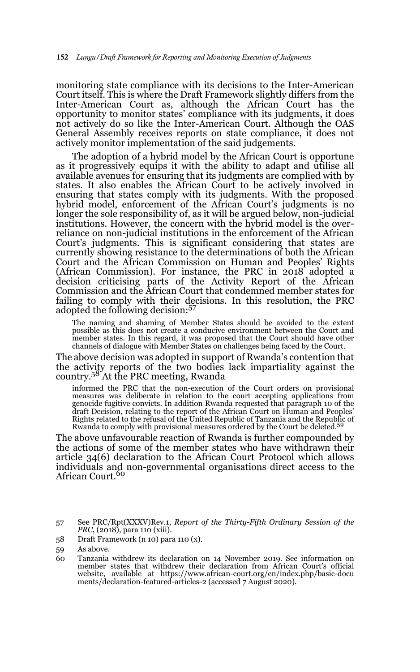monitoring state compliance with its decisions to the Inter-American Court itself. This is where the Draft Framework slightly differs from the Inter-American Court as, although the African Court has the opportunity to monitor states' compliance with its judgments, it does not actively do so like the Inter-American Court. Although the OAS General Assembly receives reports on state compliance, it does not actively monitor implementation of the said judgements.

The adoption of a hybrid model by the African Court is opportune as it progressively equips it with the ability to adapt and utilise all available avenues for ensuring that its judgments are complied with by states. It also enables the African Court to be actively involved in ensuring that states comply with its judgments. With the proposed hybrid model, enforcement of the African Court's judgments is no longer the sole responsibility of, as it will be argued below, non-judicial institutions. However, the concern with the hybrid model is the overreliance on non-judicial institutions in the enforcement of the African Court's judgments. This is significant considering that states are currently showing resistance to the determinations of both the African Court and the African Commission on Human and Peoples' Rights (African Commission). For instance, the PRC in 2018 adopted a decision criticising parts of the Activity Report of the African Commission and the African Court that condemned member states for failing to comply with their decisions. In this resolution, the PRC adopted the following decision:<sup>57</sup>

The naming and shaming of Member States should be avoided to the extent possible as this does not create a conducive environment between the Court and member states. In this regard, it was proposed that the Court should have other channels of dialogue with Member States on challenges being faced by the Court.

The above decision was adopted in support of Rwanda's contention that the activity reports of the two bodies lack impartiality against the country.58 At the PRC meeting, Rwanda

informed the PRC that the non-execution of the Court orders on provisional measures was deliberate in relation to the court accepting applications from genocide fugitive convicts. In addition Rwanda requested that paragraph 10 of the draft Decision, relating to the report of the African Court on Human and Peoples' Rights related to the refusal of the United Republic of Tanzania and the Republic of Rwanda to comply with provisional measures ordered by the Court be deleted.<sup>59</sup>

The above unfavourable reaction of Rwanda is further compounded by the actions of some of the member states who have withdrawn their article 34(6) declaration to the African Court Protocol which allows individuals and non-governmental organisations direct access to the African Court.<sup>60</sup>

58 Draft Framework (n 10) para 110 (x).

<sup>57</sup> See PRC/Rpt(XXXV)Rev.1, *Report of the Thirty-Fifth Ordinary Session of the PRC*, (2018), para 110 (xiii).

<sup>59</sup> As above.

<sup>60</sup> Tanzania withdrew its declaration on 14 November 2019. See information on member states that withdrew their declaration from African Court's official website, available at https://www.african-court.org/en/index.php/basic-docu ments/declaration-featured-articles-2 (accessed 7 August 2020).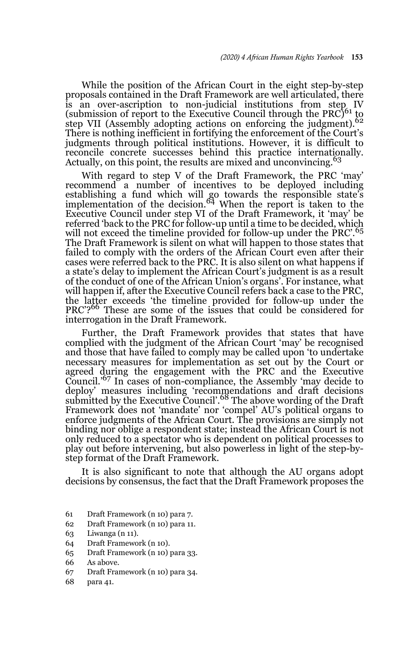While the position of the African Court in the eight step-by-step proposals contained in the Draft Framework are well articulated, there is an over-ascription to non-judicial institutions from step IV (submission of report to the Executive Council through the PRC)<sup>61</sup> to step VII (Assembly adopting actions on enforcing the judgment).<sup>62</sup> There is nothing inefficient in fortifying the enforcement of the Court's judgments through political institutions. However, it is difficult to reconcile concrete successes behind this practice internationally. Actually, on this point, the results are mixed and unconvincing.<sup>63</sup>

With regard to step V of the Draft Framework, the PRC 'may' recommend a number of incentives to be deployed including establishing a fund which will go towards the responsible state's implementation of the decision.64 When the report is taken to the Executive Council under step VI of the Draft Framework, it 'may' be referred 'back to the PRC for follow-up until a time to be decided, which will not exceed the timeline provided for follow-up under the PRC'. The Draft Framework is silent on what will happen to those states that failed to comply with the orders of the African Court even after their cases were referred back to the PRC. It is also silent on what happens if a state's delay to implement the African Court's judgment is as a result of the conduct of one of the African Union's organs'. For instance, what will happen if, after the Executive Council refers back a case to the PRC, the latter exceeds 'the timeline provided for follow-up under the PRC'?<sup>66</sup> These are some of the issues that could be considered for interrogation in the Draft Framework.

Further, the Draft Framework provides that states that have complied with the judgment of the African Court 'may' be recognised and those that have failed to comply may be called upon 'to undertake necessary measures for implementation as set out by the Court or agreed during the engagement with the PRC and the Executive Council.'67 In cases of non-compliance, the Assembly 'may decide to deploy' measures including 'recommendations and draft decisions submitted by the Executive Council'.68 The above wording of the Draft Framework does not 'mandate' nor 'compel' AU's political organs to enforce judgments of the African Court. The provisions are simply not binding nor oblige a respondent state; instead the African Court is not only reduced to a spectator who is dependent on political processes to play out before intervening, but also powerless in light of the step-bystep format of the Draft Framework.

It is also significant to note that although the AU organs adopt decisions by consensus, the fact that the Draft Framework proposes the

- 61 Draft Framework (n 10) para 7.
- 62 Draft Framework (n 10) para 11.
- 63 Liwanga (n 11).
- 64 Draft Framework (n 10).
- 65 Draft Framework (n 10) para 33.
- 66 As above.
- 67 Draft Framework (n 10) para 34.
- 68 para 41.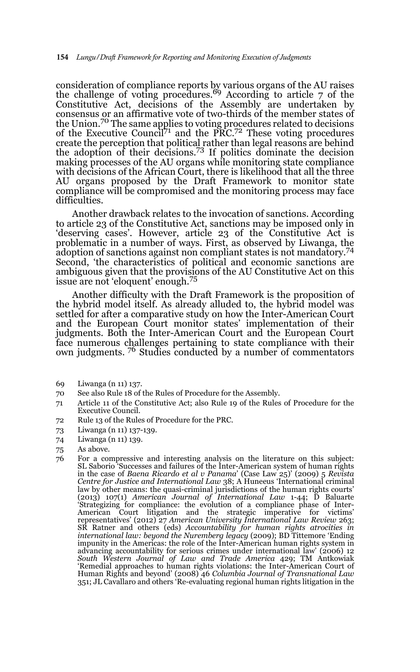consideration of compliance reports by various organs of the AU raises<br>the challenge of voting procedures.<sup>69</sup> According to article 7 of the Constitutive Act, decisions of the Assembly are undertaken by consensus or an affirmative vote of two-thirds of the member states of the Union.70 The same applies to voting procedures related to decisions of the Executive Council<sup>71</sup> and the PRC.<sup>72</sup> These voting procedures create the perception that political rather than legal reasons are behind<br>the adoption of their decisions.<sup>73</sup> If politics dominate the decision making processes of the AU organs while monitoring state compliance with decisions of the African Court, there is likelihood that all the three AU organs proposed by the Draft Framework to monitor state compliance will be compromised and the monitoring process may face difficulties.

Another drawback relates to the invocation of sanctions. According to article 23 of the Constitutive Act, sanctions may be imposed only in 'deserving cases'. However, article 23 of the Constitutive Act is problematic in a number of ways. First, as observed by Liwanga, the adoption of sanctions against non compliant states is not mandatory.74 Second, 'the characteristics of political and economic sanctions are ambiguous given that the provisions of the AU Constitutive Act on this issue are not 'eloquent' enough.<sup>75</sup>

Another difficulty with the Draft Framework is the proposition of the hybrid model itself. As already alluded to, the hybrid model was settled for after a comparative study on how the Inter-American Court and the European Court monitor states' implementation of their judgments. Both the Inter-American Court and the European Court face numerous challenges pertaining to state compliance with their own judgments. 76 Studies conducted by a number of commentators

- 69 Liwanga (n 11) 137.
- 70 See also Rule 18 of the Rules of Procedure for the Assembly.
- 71 Article 11 of the Constitutive Act; also Rule 19 of the Rules of Procedure for the Executive Council.
- 72 Rule 13 of the Rules of Procedure for the PRC.
- 73 Liwanga (n 11) 137-139.
- 74 Liwanga (n 11) 139.
- 75 As above.
- 76 For a compressive and interesting analysis on the literature on this subject: SL Saborio 'Successes and failures of the Inter-American system of human rights in the case of *Baena Ricardo et al v Panama*' (Case Law 25)' (2009) 5 *Revista Centre for Justice and International Law* 38; A Huneeus 'International criminal law by other means: the quasi-criminal jurisdictions of the human rights courts'<br>(2013) 107(1) *American Journal of International Law* 1-44; D Baluarte<br>'Strategizing for compliance: the evolution of a compliance phase of I American Court litigation and the strategic imperative for victims' representatives' (2012) 27 *American University International Law Review* 263; SR Ratner and others (eds) *Accountability for human rights atrocities in international law: beyond the Nuremberg legacy* (2009); BD Tittemore 'Ending impunity in the Americas: the role of the Inter-American human rights system in advancing accountability for serious crimes under international law' (2006) 12 *South Western Journal of Law and Trade America* 429; TM Antkowiak 'Remedial approaches to human rights violations: the Inter-American Court of Human Rights and beyond' (2008) 46 *Columbia Journal of Transnational Law* 351; JL Cavallaro and others 'Re-evaluating regional human rights litigation in the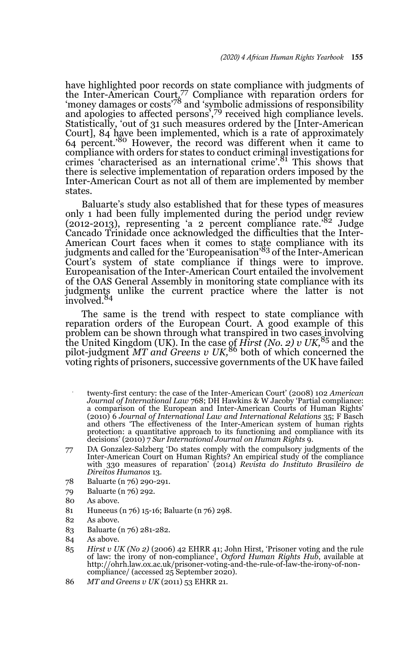have highlighted poor records on state compliance with judgments of the Inter-American Court, $\frac{7}{7}$  Compliance with reparation orders for 'money damages or costs'78 and 'symbolic admissions of responsibility and apologies to affected persons',<sup>79</sup> received high compliance levels. Statistically, 'out of 31 such measures ordered by the [Inter-American Court], 84 have been implemented, which is a rate of approximately 64 percent.'80 However, the record was different when it came to compliance with orders for states to conduct criminal investigations for crimes 'characterised as an international crime'.81 This shows that there is selective implementation of reparation orders imposed by the Inter-American Court as not all of them are implemented by member states.

Baluarte's study also established that for these types of measures only 1 had been fully implemented during the period under review (2012-2013), representing 'a 2 percent compliance rate.'82 Judge Cancado Trinidade once acknowledged the difficulties that the Inter-American Court faces when it comes to state compliance with its judgments and called for the 'Europeanisation'83 of the Inter-American Court's system of state compliance if things were to improve. Europeanisation of the Inter-American Court entailed the involvement of the OAS General Assembly in monitoring state compliance with its judgments unlike the current practice where the latter is not<br>involved.<sup>84</sup>

The same is the trend with respect to state compliance with reparation orders of the European Court. A good example of this problem can be shown through what transpired in two cases involving the United Kingdom (UK). In the case of *Hirst (No. 2) v UK,*<sup>85</sup> and the pilot-judgment *MT and Greens v UK,*86 both of which concerned the voting rights of prisoners, successive governments of the UK have failed

- 77 twenty-first century: the case of the Inter-American Court' (2008) 102 *American Journal of International Law* 768; DH Hawkins & W Jacoby 'Partial compliance: a comparison of the European and Inter-American Courts of Human Rights' (2010) 6 *Journal of International Law and International Relations* 35; F Basch and others 'The effectiveness of the Inter-American system of human rights protection: a quantitative approach to its functioning and compliance with its decisions' (2010) 7 *Sur International Journal on Human Rights* 9.
- 77 DA Gonzalez-Salzberg 'Do states comply with the compulsory judgments of the Inter-American Court on Human Rights? An empirical study of the compliance with 330 measures of reparation' (2014) *Revista do Instituto Brasileiro de Direitos Humanos* 13.
- 78 Baluarte (n 76) 290-291.
- 79 Baluarte (n 76) 292.
- 80 As above.
- 81 Huneeus (n 76) 15-16; Baluarte (n 76) 298.
- 82 As above.
- 83 Baluarte (n 76) 281-282.
- 84 As above.
- 85 *Hirst v UK (No 2)* (2006) 42 EHRR 41; John Hirst, 'Prisoner voting and the rule of law: the irony of non-compliance', *Oxford Human Rights Hub*, available at http://ohrh.law.ox.ac.uk/prisoner-voting-and-the-rule-of-law-the-irony-of-non-compliance/ (accessed 25 September 2020).
- 86 *MT and Greens v UK* (2011) 53 EHRR 21.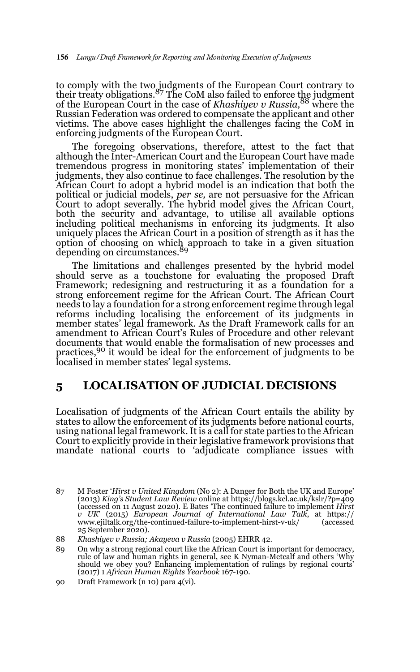to comply with the two judgments of the European Court contrary to<br>their treaty obligations.<sup>87</sup> The CoM also failed to enforce t<u>h</u>e judgment of the European Court in the case of *Khashiyev v Russia,*<sup>88</sup> where the Russian Federation was ordered to compensate the applicant and other victims. The above cases highlight the challenges facing the CoM in enforcing judgments of the European Court.

The foregoing observations, therefore, attest to the fact that although the Inter-American Court and the European Court have made tremendous progress in monitoring states' implementation of their judgments, they also continue to face challenges. The resolution by the African Court to adopt a hybrid model is an indication that both the political or judicial models, *per se,* are not persuasive for the African Court to adopt severally. The hybrid model gives the African Court, both the security and advantage, to utilise all available options including political mechanisms in enforcing its judgments. It also uniquely places the African Court in a position of strength as it has the option of choosing on which approach to take in a given situation depending on circumstances.<sup>89</sup>

The limitations and challenges presented by the hybrid model should serve as a touchstone for evaluating the proposed Draft Framework; redesigning and restructuring it as a foundation for a strong enforcement regime for the African Court. The African Court needs to lay a foundation for a strong enforcement regime through legal reforms including localising the enforcement of its judgments in member states' legal framework. As the Draft Framework calls for an amendment to African Court's Rules of Procedure and other relevant documents that would enable the formalisation of new processes and practices,90 it would be ideal for the enforcement of judgments to be localised in member states' legal systems.

### **5 LOCALISATION OF JUDICIAL DECISIONS**

Localisation of judgments of the African Court entails the ability by states to allow the enforcement of its judgments before national courts, using national legal framework. It is a call for state parties to the African Court to explicitly provide in their legislative framework provisions that mandate national courts to 'adjudicate compliance issues with

<sup>87</sup> M Foster '*Hirst v United Kingdom* (No 2): A Danger for Both the UK and Europe' (2013) *King's Student Law Review* online at https://blogs.kcl.ac.uk/kslr/?p=409 (accessed on 11 August 2020). E Bates 'The continued failure to implement *Hirst v UK*' (2015) *European Journal of International Law Talk*, at https:// www.ejiltalk.org/the-continued-failure-to-implement-hirst-v-uk/ (accessed 25 September 2020).

<sup>88</sup> *Khashiyev v Russia; Akayeva v Russia* (2005) EHRR 42.

<sup>89</sup> On why a strong regional court like the African Court is important for democracy, rule of law and human rights in general, see K Nyman-Metcalf and others 'Why should we obey you? Enhancing implementation of rulings by regional courts' (2017) 1 *African Human Rights Yearbook* 167-190.

<sup>90</sup> Draft Framework (n 10) para 4(vi).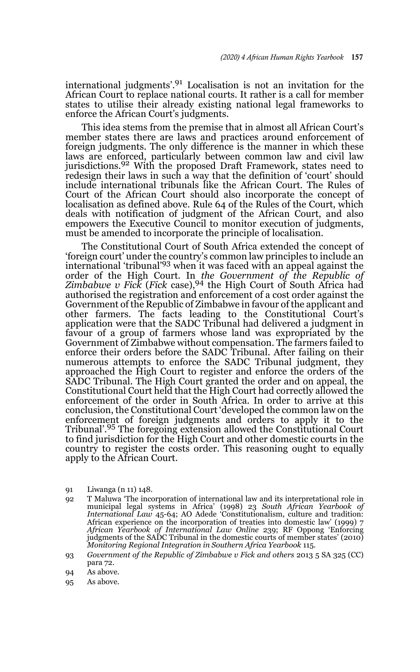international judgments'.<sup>91</sup> Localisation is not an invitation for the African Court to replace national courts. It rather is a call for member states to utilise their already existing national legal frameworks to enforce the African Court's judgments.

This idea stems from the premise that in almost all African Court's member states there are laws and practices around enforcement of foreign judgments. The only difference is the manner in which these laws are enforced, particularly between common law and civil law jurisdictions.92 With the proposed Draft Framework, states need to redesign their laws in such a way that the definition of 'court' should include international tribunals like the African Court. The Rules of Court of the African Court should also incorporate the concept of localisation as defined above. Rule 64 of the Rules of the Court, which deals with notification of judgment of the African Court, and also empowers the Executive Council to monitor execution of judgments, must be amended to incorporate the principle of localisation.

The Constitutional Court of South Africa extended the concept of 'foreign court' under the country's common law principles to include an international 'tribunal'93 when it was faced with an appeal against the order of the High Court. In *the Government of the Republic of Zimbabwe v Fick* (*Fick* case),94 the High Court of South Africa had authorised the registration and enforcement of a cost order against the Government of the Republic of Zimbabwe in favour of the applicant and other farmers. The facts leading to the Constitutional Court's application were that the SADC Tribunal had delivered a judgment in favour of a group of farmers whose land was expropriated by the Government of Zimbabwe without compensation. The farmers failed to enforce their orders before the SADC Tribunal. After failing on their numerous attempts to enforce the SADC Tribunal judgment, they approached the High Court to register and enforce the orders of the SADC Tribunal. The High Court granted the order and on appeal, the Constitutional Court held that the High Court had correctly allowed the enforcement of the order in South Africa. In order to arrive at this conclusion, the Constitutional Court 'developed the common law on the enforcement of foreign judgments and orders to apply it to the Tribunal'.95 The foregoing extension allowed the Constitutional Court to find jurisdiction for the High Court and other domestic courts in the country to register the costs order. This reasoning ought to equally apply to the African Court.

- 91 Liwanga (n 11) 148.
- 92 T Maluwa 'The incorporation of international law and its interpretational role in municipal legal systems in Africa' (1998) 23 South African Yearbook of<br>International Law 45-64; AO Adede 'Constitutionalism, culture and tradition:<br>African experience on the incorporation of treaties into domestic law' (19 *African Yearbook of International Law Online* 239; RF Oppong 'Enforcing judgments of the SADC Tribunal in the domestic courts of member states' (2010) *Monitoring Regional Integration in Southern Africa Yearbook* 115.
- 93 *Government of the Republic of Zimbabwe v Fick and others* 2013 5 SA 325 (CC) para 72.
- 94 As above.
- 95 As above.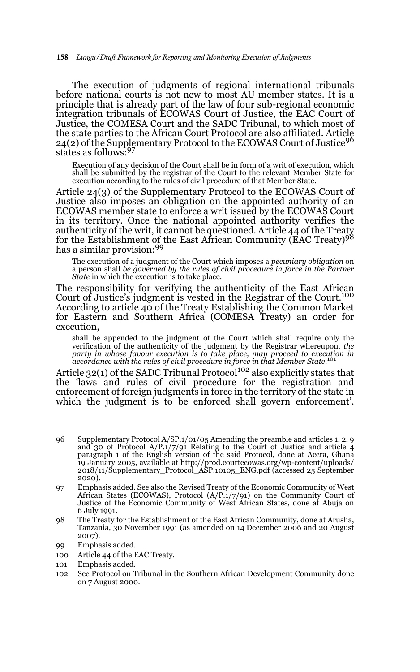The execution of judgments of regional international tribunals before national courts is not new to most AU member states. It is a principle that is already part of the law of four sub-regional economic integration tribunals of ECOWAS Court of Justice, the EAC Court of Justice, the COMESA Court and the SADC Tribunal, to which most of the state parties to the African Court Protocol are also affiliated. Article 24(2) of the Supplementary Protocol to the ECOWAS Court of Justice<sup>96</sup> states as follows:<sup>97</sup>

Execution of any decision of the Court shall be in form of a writ of execution, which shall be submitted by the registrar of the Court to the relevant Member State for execution according to the rules of civil procedure of that Member State.

Article 24(3) of the Supplementary Protocol to the ECOWAS Court of Justice also imposes an obligation on the appointed authority of an ECOWAS member state to enforce a writ issued by the ECOWAS Court in its territory. Once the national appointed authority verifies the authenticity of the writ, it cannot be questioned. Article 44 of the Treaty<br>for the Establishment of the East African Community (EAC Treaty)<sup>98</sup> has a similar provision:99

The execution of a judgment of the Court which imposes a *pecuniary obligation* on a person shall *be governed by the rules of civil procedure in force in the Partner State* in which the execution is to take place.

The responsibility for verifying the authenticity of the East African Court of Justice's judgment is vested in the Registrar of the Court.100 According to article 40 of the Treaty Establishing the Common Market for Eastern and Southern Africa (COMESA Treaty) an order for execution,

shall be appended to the judgment of the Court which shall require only the verification of the authenticity of the judgment by the Registrar whereupon, *the*<br>party in whose favour execution is to take place, may proceed to execution in<br>accordance with the rules of civil procedure in force in that

Article 32(1) of the SADC Tribunal Protocol<sup>102</sup> also explicitly states that the 'laws and rules of civil procedure for the registration and enforcement of foreign judgments in force in the territory of the state in which the judgment is to be enforced shall govern enforcement'.

- 96 Supplementary Protocol A/SP.1/01/05 Amending the preamble and articles 1, 2, 9 and 30 of Protocol A/P.1/7/91 Relating to the Court of Justice and article 4 paragraph 1 of the English version of the said Protocol, done at Accra, Ghana 19 January 2005, available at http://prod.courtecowas.org/wp-content/uploads/ 2018/11/Supplementary\_Protocol\_ASP.10105\_ENG.pdf (accessed 25 September 2020).
- 97 Emphasis added. See also the Revised Treaty of the Economic Community of West African States (ECOWAS), Protocol  $(A/P.1/7/91)$  on the Community Court of Justice of the Economic Community of West African States, done at Abuja on 6 July 1991.
- 98 The Treaty for the Establishment of the East African Community, done at Arusha, Tanzania, 30 November 1991 (as amended on 14 December 2006 and 20 August 2007).
- 99 Emphasis added.
- 100 Article 44 of the EAC Treaty.
- 101 Emphasis added.
- 102 See Protocol on Tribunal in the Southern African Development Community done on 7 August 2000.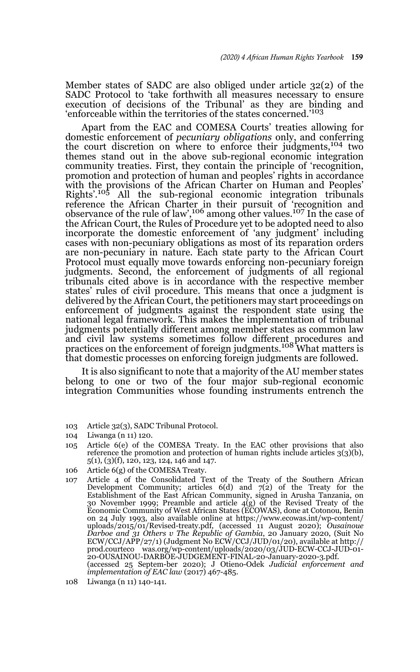Member states of SADC are also obliged under article 32(2) of the SADC Protocol to 'take forthwith all measures necessary to ensure execution of decisions of the Tribunal' as they are binding and 'enforceable within the territories of the states concerned.'<sup>103</sup>

Apart from the EAC and COMESA Courts' treaties allowing for domestic enforcement of *pecuniary obligations* only, and conferring the court discretion on where to enforce their judgments,104 two themes stand out in the above sub-regional economic integration community treaties. First, they contain the principle of 'recognition, promotion and protection of human and peoples' rights in accordance with the provisions of the African Charter on Human and Peoples' Rights'.<sup>105</sup> All the sub-regional economic integration tribunals All the sub-regional economic integration tribunals reference the African Charter in their pursuit of 'recognition and observance of the rule of law',<sup>106</sup> among other values.<sup>107</sup> In the case of the African Court, the Rules of Procedure yet to be adopted need to also incorporate the domestic enforcement of 'any judgment' including cases with non-pecuniary obligations as most of its reparation orders are non-pecuniary in nature. Each state party to the African Court Protocol must equally move towards enforcing non-pecuniary foreign judgments. Second, the enforcement of judgments of all regional tribunals cited above is in accordance with the respective member states' rules of civil procedure. This means that once a judgment is delivered by the African Court, the petitioners may start proceedings on enforcement of judgments against the respondent state using the national legal framework. This makes the implementation of tribunal judgments potentially different among member states as common law and civil law systems sometimes follow different procedures and<br>practices on the enforcement of foreign judgments.<sup>108</sup> What matters is that domestic processes on enforcing foreign judgments are followed.

It is also significant to note that a majority of the AU member states belong to one or two of the four major sub-regional economic integration Communities whose founding instruments entrench the

- 103 Article 32(3), SADC Tribunal Protocol.
- 104 Liwanga (n 11) 120.
- 105 Article 6(e) of the COMESA Treaty. In the EAC other provisions that also reference the promotion and protection of human rights include articles 3(3)(b), 5(1), (3)(f), 120, 123, 124, 146 and 147.
- 106 Article 6(g) of the COMESA Treaty.
- 107 Article 4 of the Consolidated Text of the Treaty of the Southern African Development Community; articles  $6(d)$  and  $7(2)$  of the Treaty for the Establishment of the East African Community, signed in Arusha Tanzania, on 30 November 1999; Preamble and article  $4(g)$  of the Revised Treaty of the Economic Community of West African States (ECOWAS), done at Cotonou, Benin on 24 July 1993, also available online at https://www.ecowas.int/wp-content/ uploads/2015/01/Revised-treaty.pdf*,* (accessed 11 August 2020); *Ousainoue Darboe and 31 Others v The Republic of Gambia*, 20 January 2020, (Suit No ECW/CCJ/APP/27/1) (Judgment No ECW/CCJ/JUD/01/20), available at http:// prod.courteco was.org/wp-content/uploads/2020/03/JUD-ECW-CCJ-JUD-01-<br>20-OUSAINOU-DARBOE-JUDGEMENT-FINAL-20-January-2020-3.pdf. (accessed 25 Septem-ber 2020); J Otieno-Odek *Judicial enforcement and implementation of EAC law* (2017) 467-485.

<sup>108</sup> Liwanga (n 11) 140-141.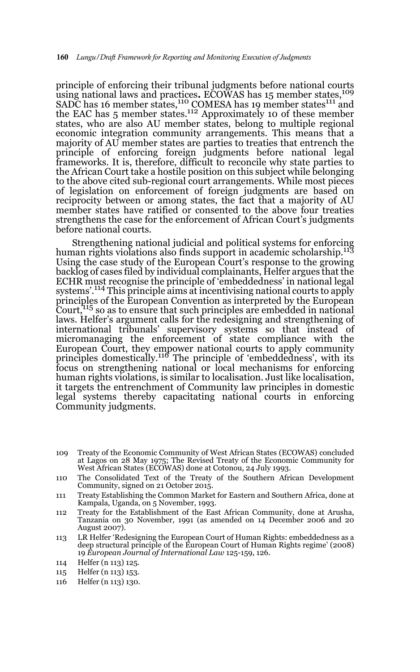principle of enforcing their tribunal judgments before national courts using national laws and practices. ECOWAS has 15 member states,<sup>109</sup> SADC has 16 member states,  $110$  COMESA has 19 member states  $111$  and the EAC has 5 member states.<sup>112</sup> Approximately 10 of these member states, who are also AU member states, belong to multiple regional economic integration community arrangements. This means that a majority of AU member states are parties to treaties that entrench the principle of enforcing foreign judgments before national legal frameworks. It is, therefore, difficult to reconcile why state parties to the African Court take a hostile position on this subject while belonging to the above cited sub-regional court arrangements. While most pieces of legislation on enforcement of foreign judgments are based on reciprocity between or among states, the fact that a majority of AU member states have ratified or consented to the above four treaties strengthens the case for the enforcement of African Court's judgments before national courts.

Strengthening national judicial and political systems for enforcing human rights violations also finds support in academic scholarship.<sup>113</sup> Using the case study of the European Court's response to the growing backlog of cases filed by individual complainants, Helfer argues that the ECHR must recognise the principle of 'embeddedness' in national legal systems'.<sup>114</sup> This principle aims at incentivising national courts to apply principles of the European Convention as interpreted by the European Court,<sup>115</sup> so as to ensure that such principles are embedded in national laws. Helfer's argument calls for the redesigning and strengthening of international tribunals' supervisory systems so that instead of micromanaging the enforcement of state compliance with the European Court, they empower national courts to apply community principles domestically.<sup>116</sup> The principle of 'embeddedness', with its focus on strengthening national or local mechanisms for enforcing human rights violations, is similar to localisation. Just like localisation, it targets the entrenchment of Community law principles in domestic legal systems thereby capacitating national courts in enforcing Community judgments.

- 109 Treaty of the Economic Community of West African States (ECOWAS) concluded at Lagos on 28 May 1975; The Revised Treaty of the Economic Community for West African States (ECOWAS) done at Cotonou, 24 July 1993.
- 110 The Consolidated Text of the Treaty of the Southern African Development Community, signed on 21 October 2015.
- 111 Treaty Establishing the Common Market for Eastern and Southern Africa, done at Kampala, Uganda, on 5 November, 1993.
- 112 Treaty for the Establishment of the East African Community, done at Arusha, Tanzania on 30 November, 1991 (as amended on 14 December 2006 and 20 August 2007).
- 113 LR Helfer 'Redesigning the European Court of Human Rights: embeddedness as a deep structural principle of the European Court of Human Rights regime' (2008) 19 *European Journal of International Law* 125-159, 126.
- 114 Helfer (n 113) 125.
- 115 Helfer (n 113) 153.
- 116 Helfer (n 113) 130.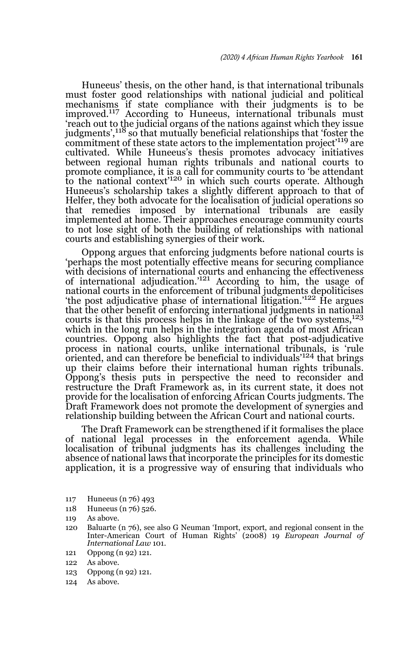Huneeus' thesis, on the other hand, is that international tribunals must foster good relationships with national judicial and political mechanisms if state compliance with their judgments is to be improved.117 According to Huneeus, international tribunals must 'reach out to the judicial organs of the nations against which they issue judgments',<sup>118</sup> so that mutually beneficial relationships that 'foster the commitment of these state actors to the implementation project'119 are cultivated. While Huneeus's thesis promotes advocacy initiatives between regional human rights tribunals and national courts to promote compliance, it is a call for community courts to 'be attendant to the national context<sup>'120</sup> in which such courts operate. Although Huneeus's scholarship takes a slightly different approach to that of Helfer, they both advocate for the localisation of judicial operations so that remedies imposed by international tribunals are easily implemented at home. Their approaches encourage community courts to not lose sight of both the building of relationships with national courts and establishing synergies of their work.

Oppong argues that enforcing judgments before national courts is 'perhaps the most potentially effective means for securing compliance with decisions of international courts and enhancing the effectiveness of international adjudication.'121 According to him, the usage of national courts in the enforcement of tribunal judgments depoliticises 'the post adjudicative phase of international litigation.'122 He argues that the other benefit of enforcing international judgments in national courts is that this process helps in the linkage of the two systems,  $123$ which in the long run helps in the integration agenda of most African countries. Oppong also highlights the fact that post-adjudicative process in national courts, unlike international tribunals, is 'rule oriented, and can therefore be beneficial to individuals'124 that brings up their claims before their international human rights tribunals. Oppong's thesis puts in perspective the need to reconsider and restructure the Draft Framework as, in its current state, it does not provide for the localisation of enforcing African Courts judgments. The Draft Framework does not promote the development of synergies and relationship building between the African Court and national courts.

The Draft Framework can be strengthened if it formalises the place of national legal processes in the enforcement agenda. While localisation of tribunal judgments has its challenges including the absence of national laws that incorporate the principles for its domestic application, it is a progressive way of ensuring that individuals who

- 117 Huneeus (n 76) 493
- 118 Huneeus (n 76) 526.
- 119 As above.
- 120 Baluarte (n 76), see also G Neuman 'Import, export, and regional consent in the Inter-American Court of Human Rights' (2008) 19 *European Journal of International Law* 101.
- 121 Oppong (n 92) 121.
- 122 As above.
- 123 Oppong (n 92) 121.
- 124 As above.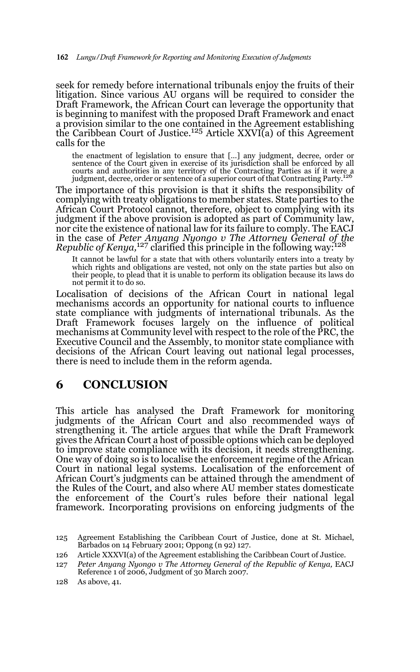seek for remedy before international tribunals enjoy the fruits of their litigation. Since various AU organs will be required to consider the Draft Framework, the African Court can leverage the opportunity that is beginning to manifest with the proposed Draft Framework and enact a provision similar to the one contained in the Agreement establishing the Caribbean Court of Justice.125 Article XXVI(a) of this Agreement calls for the

the enactment of legislation to ensure that […] any judgment, decree, order or sentence of the Court given in exercise of its jurisdiction shall be enforced by all courts and authorities in any territory of the Contracting Parties as if it were a judgment, decree, order or sentence of a superior court of that Contracting Party.126

The importance of this provision is that it shifts the responsibility of complying with treaty obligations to member states. State parties to the African Court Protocol cannot, therefore, object to complying with its judgment if the above provision is adopted as part of Community law, nor cite the existence of national law for its failure to comply. The EACJ in the case of *Peter Anyang Nyongo v The Attorney General of the Republic of Kenya,*127 clarified this principle in the following way:128

It cannot be lawful for a state that with others voluntarily enters into a treaty by which rights and obligations are vested, not only on the state parties but also on their people, to plead that it is unable to perform its obligation because its laws do not permit it to do so.

Localisation of decisions of the African Court in national legal mechanisms accords an opportunity for national courts to influence state compliance with judgments of international tribunals. As the Draft Framework focuses largely on the influence of political mechanisms at Community level with respect to the role of the PRC, the Executive Council and the Assembly, to monitor state compliance with decisions of the African Court leaving out national legal processes, there is need to include them in the reform agenda.

### **6 CONCLUSION**

This article has analysed the Draft Framework for monitoring judgments of the African Court and also recommended ways of strengthening it. The article argues that while the Draft Framework gives the African Court a host of possible options which can be deployed to improve state compliance with its decision, it needs strengthening. One way of doing so is to localise the enforcement regime of the African Court in national legal systems. Localisation of the enforcement of African Court's judgments can be attained through the amendment of the Rules of the Court, and also where AU member states domesticate the enforcement of the Court's rules before their national legal framework. Incorporating provisions on enforcing judgments of the

126 Article XXXVI(a) of the Agreement establishing the Caribbean Court of Justice.

<sup>125</sup> Agreement Establishing the Caribbean Court of Justice, done at St. Michael, Barbados on 14 February 2001; Oppong (n 92) 127.

<sup>127</sup> *Peter Anyang Nyongo v The Attorney General of the Republic of Kenya, EACJ* Reference 1 of 2006, Judgment of 30 March 2007.

<sup>128</sup> As above, 41.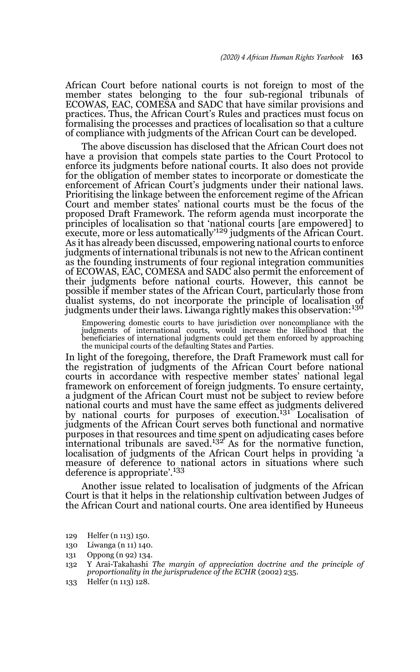African Court before national courts is not foreign to most of the member states belonging to the four sub-regional tribunals of ECOWAS, EAC, COMESA and SADC that have similar provisions and practices. Thus, the African Court's Rules and practices must focus on formalising the processes and practices of localisation so that a culture of compliance with judgments of the African Court can be developed.

The above discussion has disclosed that the African Court does not have a provision that compels state parties to the Court Protocol to enforce its judgments before national courts. It also does not provide for the obligation of member states to incorporate or domesticate the enforcement of African Court's judgments under their national laws. Prioritising the linkage between the enforcement regime of the African Court and member states' national courts must be the focus of the proposed Draft Framework. The reform agenda must incorporate the principles of localisation so that 'national courts [are empowered] to<br>execute, more or less automatically'<sup>129</sup> judgments of the African Court. As it has already been discussed, empowering national courts to enforce judgments of international tribunals is not new to the African continent as the founding instruments of four regional integration communities of ECOWAS, EAC, COMESA and SADC also permit the enforcement of their judgments before national courts. However, this cannot be possible if member states of the African Court, particularly those from dualist systems, do not incorporate the principle of localisation of judgments under their laws. Liwanga rightly makes this observation:<sup>130</sup>

Empowering domestic courts to have jurisdiction over noncompliance with the judgments of international courts, would increase the likelihood that the beneficiaries of international judgments could get them enforced by appr the municipal courts of the defaulting States and Parties.

In light of the foregoing, therefore, the Draft Framework must call for the registration of judgments of the African Court before national courts in accordance with respective member states' national legal framework on enforcement of foreign judgments. To ensure certainty, a judgment of the African Court must not be subject to review before national courts and must have the same effect as judgments delivered by national courts for purposes of execution.<sup>131</sup> Localisation of judgments of the African Court serves both functional and normative purposes in that resources and time spent on adjudicating cases before<br>international tribunals are saved.<sup>132</sup> As for the normative function, localisation of judgments of the African Court helps in providing 'a measure of deference to national actors in situations where such deference is appropriate'.<sup>133</sup>

Another issue related to localisation of judgments of the African Court is that it helps in the relationship cultivation between Judges of the African Court and national courts. One area identified by Huneeus

- 129 Helfer (n 113) 150.
- 130 Liwanga (n 11) 140.
- 131 Oppong (n 92) 134.
- 132 Y Arai-Takahashi *The margin of appreciation doctrine and the principle of proportionality in the jurisprudence of the ECHR* (2002) 235.
- 133 Helfer (n 113) 128.